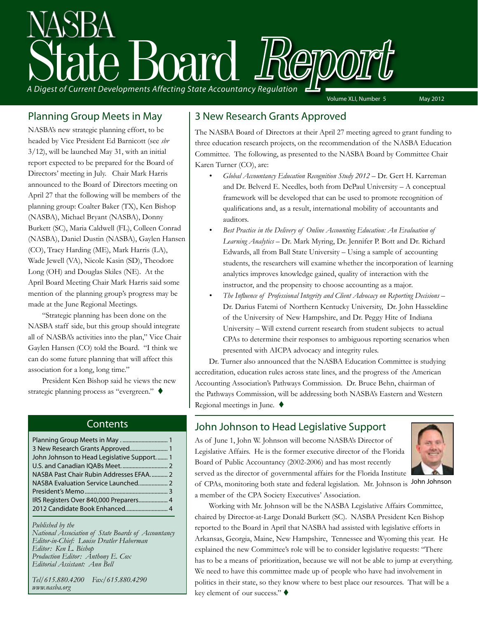

### Planning Group Meets in May

NASBA's new strategic planning effort, to be headed by Vice President Ed Barnicott (see *sbr* 3/12), will be launched May 31, with an initial report expected to be prepared for the Board of Directors' meeting in July. Chair Mark Harris announced to the Board of Directors meeting on April 27 that the following will be members of the planning group: Coalter Baker (TX), Ken Bishop (NASBA), Michael Bryant (NASBA), Donny Burkett (SC), Maria Caldwell (FL), Colleen Conrad (NASBA), Daniel Dustin (NASBA), Gaylen Hansen (CO), Tracy Harding (ME), Mark Harris (LA), Wade Jewell (VA), Nicole Kasin (SD), Theodore Long (OH) and Douglas Skiles (NE). At the April Board Meeting Chair Mark Harris said some mention of the planning group's progress may be made at the June Regional Meetings.

"Strategic planning has been done on the NASBA staff side, but this group should integrate all of NASBA's activities into the plan," Vice Chair Gaylen Hansen (CO) told the Board. "I think we can do some future planning that will affect this association for a long, long time."

President Ken Bishop said he views the new strategic planning process as "evergreen."

### **Contents**

| 3 New Research Grants Approved 1           |  |
|--------------------------------------------|--|
| John Johnson to Head Legislative Support 1 |  |
|                                            |  |
| NASBA Past Chair Rubin Addresses EFAA 2    |  |
|                                            |  |
|                                            |  |
| IRS Registers Over 840,000 Preparers 4     |  |
|                                            |  |

*Published by the* 

*National Association of State Boards of Accountancy Editor-in-Chief: Louise Dratler Haberman Editor: Ken L. Bishop Production Editor: Anthony E. Cox Editorial Assistant: Ann Bell* 

*Tel/615.880.4200 Fax/615.880.4290 www.nasba.org*

### 3 New Research Grants Approved

The NASBA Board of Directors at their April 27 meeting agreed to grant funding to three education research projects, on the recommendation of the NASBA Education Committee. The following, as presented to the NASBA Board by Committee Chair Karen Turner (CO), are:

- *• Global Accountancy Education Recognition Study 2012* Dr. Gert H. Karreman and Dr. Belverd E. Needles, both from DePaul University – A conceptual framework will be developed that can be used to promote recognition of qualifications and, as a result, international mobility of accountants and auditors.
- *• Best Practice in the Delivery of Online Accounting Education: An Evaluation of Learning Analytics* – Dr. Mark Myring, Dr. Jennifer P. Bott and Dr. Richard Edwards, all from Ball State University – Using a sample of accounting students, the researchers will examine whether the incorporation of learning analytics improves knowledge gained, quality of interaction with the instructor, and the propensity to choose accounting as a major.
- *• The Influence of Professional Integrity and Client Advocacy on Reporting Decisions* Dr. Darius Fatemi of Northern Kentucky University, Dr. John Hasseldine of the University of New Hampshire, and Dr. Peggy Hite of Indiana University – Will extend current research from student subjects to actual CPAs to determine their responses to ambiguous reporting scenarios when presented with AICPA advocacy and integrity rules.

Dr. Turner also announced that the NASBA Education Committee is studying accreditation, education rules across state lines, and the progress of the American Accounting Association's Pathways Commission. Dr. Bruce Behn, chairman of the Pathways Commission, will be addressing both NASBA's Eastern and Western Regional meetings in June.  $\blacklozenge$ 

### John Johnson to Head Legislative Support

As of June 1, John W. Johnson will become NASBA's Director of Legislative Affairs. He is the former executive director of the Florida Board of Public Accountancy (2002-2006) and has most recently served as the director of governmental affairs for the Florida Institute of CPAs, monitoring both state and federal legislation. Mr. Johnson is a member of the CPA Society Executives' Association.



John Johnson

Working with Mr. Johnson will be the NASBA Legislative Affairs Committee, chaired by Director-at-Large Donald Burkett (SC). NASBA President Ken Bishop reported to the Board in April that NASBA had assisted with legislative efforts in Arkansas, Georgia, Maine, New Hampshire, Tennessee and Wyoming this year. He explained the new Committee's role will be to consider legislative requests: "There has to be a means of prioritization, because we will not be able to jump at everything. We need to have this committee made up of people who have had involvement in politics in their state, so they know where to best place our resources. That will be a key element of our success."  $\blacklozenge$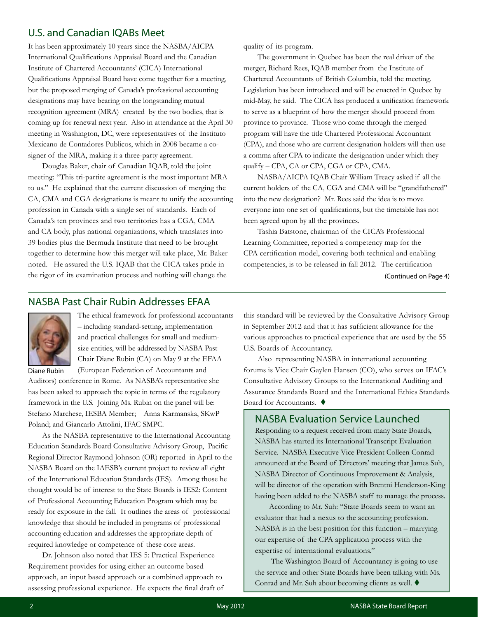### U.S. and Canadian IQABs Meet

It has been approximately 10 years since the NASBA/AICPA International Qualifications Appraisal Board and the Canadian Institute of Chartered Accountants' (CICA) International Qualifications Appraisal Board have come together for a meeting, but the proposed merging of Canada's professional accounting designations may have bearing on the longstanding mutual recognition agreement (MRA) created by the two bodies, that is coming up for renewal next year. Also in attendance at the April 30 meeting in Washington, DC, were representatives of the Instituto Mexicano de Contadores Publicos, which in 2008 became a cosigner of the MRA, making it a three-party agreement.

Douglas Baker, chair of Canadian IQAB, told the joint meeting: "This tri-partite agreement is the most important MRA to us." He explained that the current discussion of merging the CA, CMA and CGA designations is meant to unify the accounting profession in Canada with a single set of standards. Each of Canada's ten provinces and two territories has a CGA, CMA and CA body, plus national organizations, which translates into 39 bodies plus the Bermuda Institute that need to be brought together to determine how this merger will take place, Mr. Baker noted. He assured the U.S. IQAB that the CICA takes pride in the rigor of its examination process and nothing will change the

quality of its program.

The government in Quebec has been the real driver of the merger, Richard Rees, IQAB member from the Institute of Chartered Accountants of British Columbia, told the meeting. Legislation has been introduced and will be enacted in Quebec by mid-May, he said. The CICA has produced a unification framework to serve as a blueprint of how the merger should proceed from province to province. Those who come through the merged program will have the title Chartered Professional Accountant (CPA), and those who are current designation holders will then use a comma after CPA to indicate the designation under which they qualify – CPA, CA or CPA, CGA or CPA, CMA.

NASBA/AICPA IQAB Chair William Treacy asked if all the current holders of the CA, CGA and CMA will be "grandfathered" into the new designation? Mr. Rees said the idea is to move everyone into one set of qualifications, but the timetable has not been agreed upon by all the provinces.

Tashia Batstone, chairman of the CICA's Professional Learning Committee, reported a competency map for the CPA certification model, covering both technical and enabling competencies, is to be released in fall 2012. The certification

(Continued on Page 4)

### NASBA Past Chair Rubin Addresses EFAA



The ethical framework for professional accountants – including standard-setting, implementation and practical challenges for small and mediumsize entities, will be addressed by NASBA Past Chair Diane Rubin (CA) on May 9 at the EFAA (European Federation of Accountants and

Auditors) conference in Rome. As NASBA's representative she has been asked to approach the topic in terms of the regulatory framework in the U.S. Joining Ms. Rubin on the panel will be: Stefano Marchese, IESBA Member; Anna Karmanska, SKwP Poland; and Giancarlo Attolini, IFAC SMPC.

As the NASBA representative to the International Accounting Education Standards Board Consultative Advisory Group, Pacific Regional Director Raymond Johnson (OR) reported in April to the NASBA Board on the IAESB's current project to review all eight of the International Education Standards (IES). Among those he thought would be of interest to the State Boards is IES2: Content of Professional Accounting Education Program which may be ready for exposure in the fall. It outlines the areas of professional knowledge that should be included in programs of professional accounting education and addresses the appropriate depth of required knowledge or competence of these core areas.

Dr. Johnson also noted that IES 5: Practical Experience Requirement provides for using either an outcome based approach, an input based approach or a combined approach to assessing professional experience. He expects the final draft of this standard will be reviewed by the Consultative Advisory Group in September 2012 and that it has sufficient allowance for the various approaches to practical experience that are used by the 55 U.S. Boards of Accountancy.

Also representing NASBA in international accounting forums is Vice Chair Gaylen Hansen (CO), who serves on IFAC's Consultative Advisory Groups to the International Auditing and Assurance Standards Board and the International Ethics Standards Board for Accountants.  $\blacklozenge$ 

### NASBA Evaluation Service Launched

Responding to a request received from many State Boards, NASBA has started its International Transcript Evaluation Service. NASBA Executive Vice President Colleen Conrad announced at the Board of Directors' meeting that James Suh, NASBA Director of Continuous Improvement & Analysis, will be director of the operation with Brentni Henderson-King having been added to the NASBA staff to manage the process.

According to Mr. Suh: "State Boards seem to want an evaluator that had a nexus to the accounting profession. NASBA is in the best position for this function – marrying our expertise of the CPA application process with the expertise of international evaluations."

 The Washington Board of Accountancy is going to use the service and other State Boards have been talking with Ms. Conrad and Mr. Suh about becoming clients as well.  $\blacklozenge$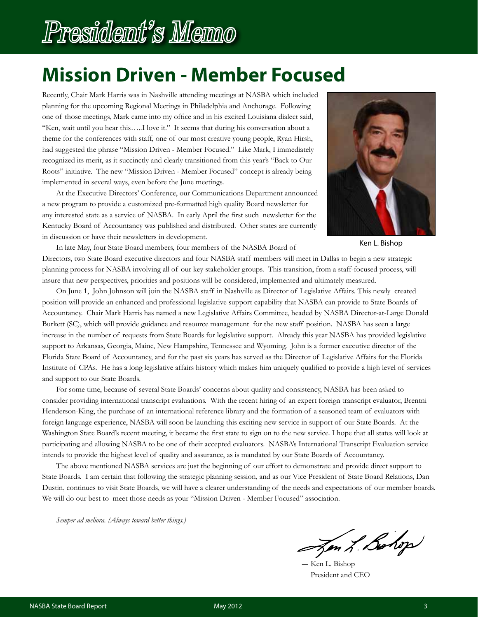# President's Memo

# **Mission Driven - Member Focused**

Recently, Chair Mark Harris was in Nashville attending meetings at NASBA which included planning for the upcoming Regional Meetings in Philadelphia and Anchorage. Following one of those meetings, Mark came into my office and in his excited Louisiana dialect said, "Ken, wait until you hear this…..I love it." It seems that during his conversation about a theme for the conferences with staff, one of our most creative young people, Ryan Hirsh, had suggested the phrase "Mission Driven - Member Focused." Like Mark, I immediately recognized its merit, as it succinctly and clearly transitioned from this year's "Back to Our Roots" initiative. The new "Mission Driven - Member Focused" concept is already being implemented in several ways, even before the June meetings.

At the Executive Directors' Conference, our Communications Department announced a new program to provide a customized pre-formatted high quality Board newsletter for any interested state as a service of NASBA. In early April the first such newsletter for the Kentucky Board of Accountancy was published and distributed. Other states are currently in discussion or have their newsletters in development.



Ken L. Bishop

In late May, four State Board members, four members of the NASBA Board of Directors, two State Board executive directors and four NASBA staff members will meet in Dallas to begin a new strategic planning process for NASBA involving all of our key stakeholder groups. This transition, from a staff-focused process, will insure that new perspectives, priorities and positions will be considered, implemented and ultimately measured.

On June 1, John Johnson will join the NASBA staff in Nashville as Director of Legislative Affairs. This newly created position will provide an enhanced and professional legislative support capability that NASBA can provide to State Boards of Accountancy. Chair Mark Harris has named a new Legislative Affairs Committee, headed by NASBA Director-at-Large Donald Burkett (SC), which will provide guidance and resource management for the new staff position. NASBA has seen a large increase in the number of requests from State Boards for legislative support. Already this year NASBA has provided legislative support to Arkansas, Georgia, Maine, New Hampshire, Tennessee and Wyoming. John is a former executive director of the Florida State Board of Accountancy, and for the past six years has served as the Director of Legislative Affairs for the Florida Institute of CPAs. He has a long legislative affairs history which makes him uniquely qualified to provide a high level of services and support to our State Boards.

For some time, because of several State Boards' concerns about quality and consistency, NASBA has been asked to consider providing international transcript evaluations. With the recent hiring of an expert foreign transcript evaluator, Brentni Henderson-King, the purchase of an international reference library and the formation of a seasoned team of evaluators with foreign language experience, NASBA will soon be launching this exciting new service in support of our State Boards. At the Washington State Board's recent meeting, it became the first state to sign on to the new service. I hope that all states will look at participating and allowing NASBA to be one of their accepted evaluators. NASBA's International Transcript Evaluation service intends to provide the highest level of quality and assurance, as is mandated by our State Boards of Accountancy.

The above mentioned NASBA services are just the beginning of our effort to demonstrate and provide direct support to State Boards. I am certain that following the strategic planning session, and as our Vice President of State Board Relations, Dan Dustin, continues to visit State Boards, we will have a clearer understanding of the needs and expectations of our member boards. We will do our best to meet those needs as your "Mission Driven - Member Focused" association.

*Semper ad meliora. (Always toward better things.)*

Jon L. Bohop

― Ken L. Bishop President and CEO